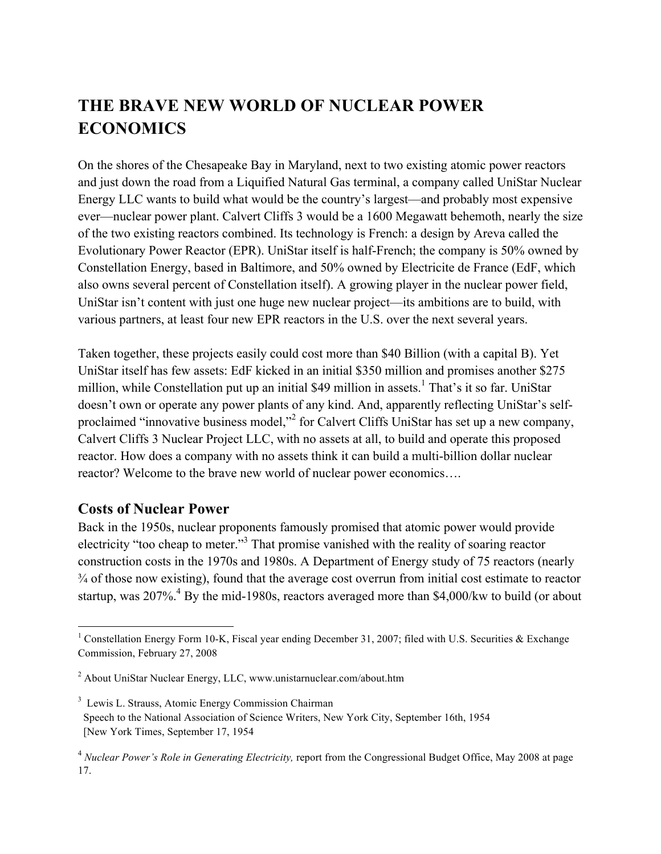## **THE BRAVE NEW WORLD OF NUCLEAR POWER ECONOMICS**

On the shores of the Chesapeake Bay in Maryland, next to two existing atomic power reactors and just down the road from a Liquified Natural Gas terminal, a company called UniStar Nuclear Energy LLC wants to build what would be the country's largest—and probably most expensive ever—nuclear power plant. Calvert Cliffs 3 would be a 1600 Megawatt behemoth, nearly the size of the two existing reactors combined. Its technology is French: a design by Areva called the Evolutionary Power Reactor (EPR). UniStar itself is half-French; the company is 50% owned by Constellation Energy, based in Baltimore, and 50% owned by Electricite de France (EdF, which also owns several percent of Constellation itself). A growing player in the nuclear power field, UniStar isn't content with just one huge new nuclear project—its ambitions are to build, with various partners, at least four new EPR reactors in the U.S. over the next several years.

Taken together, these projects easily could cost more than \$40 Billion (with a capital B). Yet UniStar itself has few assets: EdF kicked in an initial \$350 million and promises another \$275 million, while Constellation put up an initial \$49 million in assets.<sup>1</sup> That's it so far. UniStar doesn't own or operate any power plants of any kind. And, apparently reflecting UniStar's selfproclaimed "innovative business model,"<sup>2</sup> for Calvert Cliffs UniStar has set up a new company, Calvert Cliffs 3 Nuclear Project LLC, with no assets at all, to build and operate this proposed reactor. How does a company with no assets think it can build a multi-billion dollar nuclear reactor? Welcome to the brave new world of nuclear power economics….

## **Costs of Nuclear Power**

Back in the 1950s, nuclear proponents famously promised that atomic power would provide electricity "too cheap to meter."<sup>3</sup> That promise vanished with the reality of soaring reactor construction costs in the 1970s and 1980s. A Department of Energy study of 75 reactors (nearly ¾ of those now existing), found that the average cost overrun from initial cost estimate to reactor startup, was  $207\%$ <sup>4</sup> By the mid-1980s, reactors averaged more than \$4,000/kw to build (or about

 $\frac{1}{1}$ <sup>1</sup> Constellation Energy Form 10-K, Fiscal year ending December 31, 2007; filed with U.S. Securities & Exchange Commission, February 27, 2008

<sup>&</sup>lt;sup>2</sup> About UniStar Nuclear Energy, LLC, www.unistarnuclear.com/about.htm

<sup>3</sup> Lewis L. Strauss, Atomic Energy Commission Chairman Speech to the National Association of Science Writers, New York City, September 16th, 1954 [New York Times, September 17, 1954

<sup>4</sup> *Nuclear Power's Role in Generating Electricity,* report from the Congressional Budget Office, May 2008 at page 17.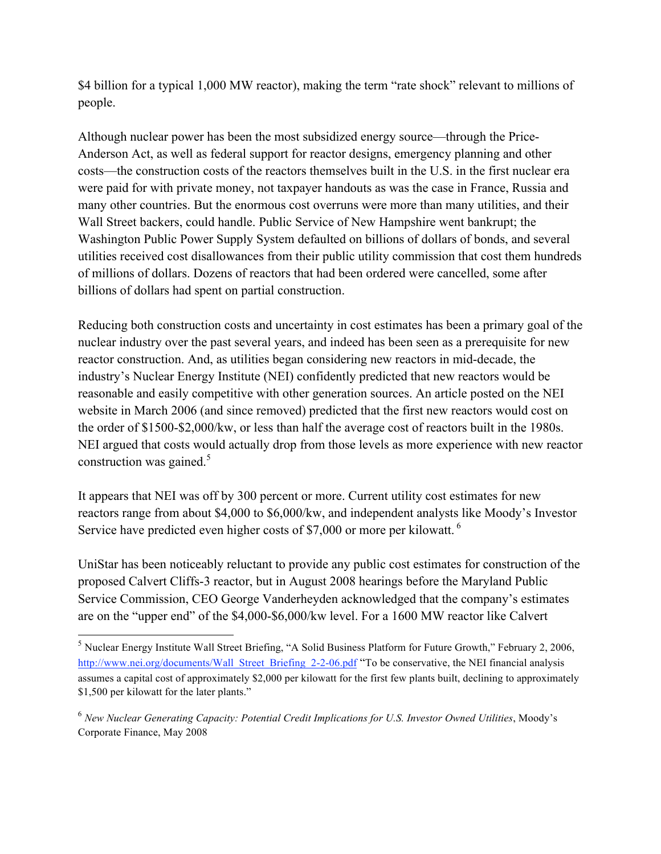\$4 billion for a typical 1,000 MW reactor), making the term "rate shock" relevant to millions of people.

Although nuclear power has been the most subsidized energy source—through the Price-Anderson Act, as well as federal support for reactor designs, emergency planning and other costs—the construction costs of the reactors themselves built in the U.S. in the first nuclear era were paid for with private money, not taxpayer handouts as was the case in France, Russia and many other countries. But the enormous cost overruns were more than many utilities, and their Wall Street backers, could handle. Public Service of New Hampshire went bankrupt; the Washington Public Power Supply System defaulted on billions of dollars of bonds, and several utilities received cost disallowances from their public utility commission that cost them hundreds of millions of dollars. Dozens of reactors that had been ordered were cancelled, some after billions of dollars had spent on partial construction.

Reducing both construction costs and uncertainty in cost estimates has been a primary goal of the nuclear industry over the past several years, and indeed has been seen as a prerequisite for new reactor construction. And, as utilities began considering new reactors in mid-decade, the industry's Nuclear Energy Institute (NEI) confidently predicted that new reactors would be reasonable and easily competitive with other generation sources. An article posted on the NEI website in March 2006 (and since removed) predicted that the first new reactors would cost on the order of \$1500-\$2,000/kw, or less than half the average cost of reactors built in the 1980s. NEI argued that costs would actually drop from those levels as more experience with new reactor construction was gained. $5$ 

It appears that NEI was off by 300 percent or more. Current utility cost estimates for new reactors range from about \$4,000 to \$6,000/kw, and independent analysts like Moody's Investor Service have predicted even higher costs of \$7,000 or more per kilowatt.<sup>6</sup>

UniStar has been noticeably reluctant to provide any public cost estimates for construction of the proposed Calvert Cliffs-3 reactor, but in August 2008 hearings before the Maryland Public Service Commission, CEO George Vanderheyden acknowledged that the company's estimates are on the "upper end" of the \$4,000-\$6,000/kw level. For a 1600 MW reactor like Calvert

 <sup>5</sup> Nuclear Energy Institute Wall Street Briefing, "A Solid Business Platform for Future Growth," February 2, 2006, http://www.nei.org/documents/Wall\_Street\_Briefing\_2-2-06.pdf "To be conservative, the NEI financial analysis assumes a capital cost of approximately \$2,000 per kilowatt for the first few plants built, declining to approximately \$1,500 per kilowatt for the later plants."

<sup>6</sup> *New Nuclear Generating Capacity: Potential Credit Implications for U.S. Investor Owned Utilities*, Moody's Corporate Finance, May 2008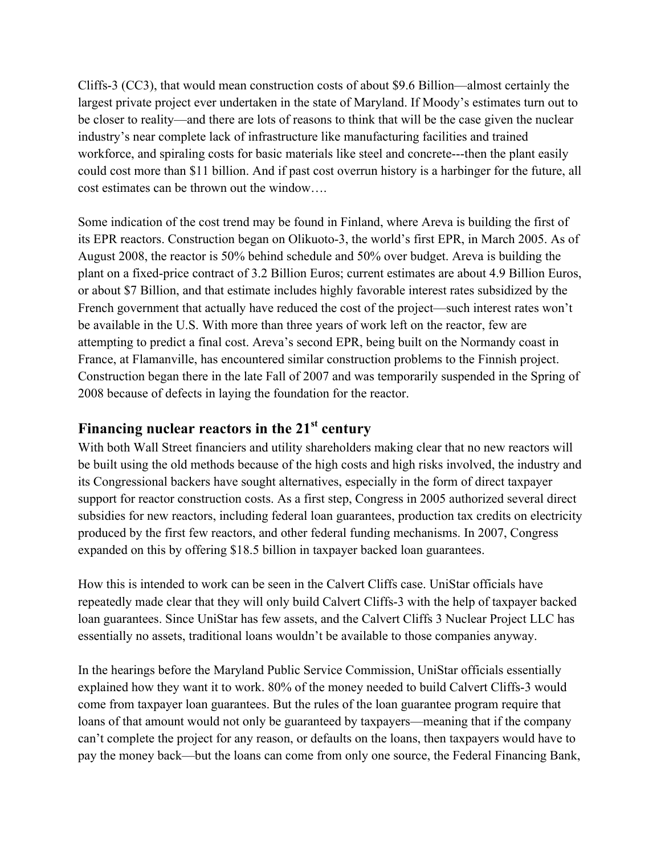Cliffs-3 (CC3), that would mean construction costs of about \$9.6 Billion—almost certainly the largest private project ever undertaken in the state of Maryland. If Moody's estimates turn out to be closer to reality—and there are lots of reasons to think that will be the case given the nuclear industry's near complete lack of infrastructure like manufacturing facilities and trained workforce, and spiraling costs for basic materials like steel and concrete---then the plant easily could cost more than \$11 billion. And if past cost overrun history is a harbinger for the future, all cost estimates can be thrown out the window….

Some indication of the cost trend may be found in Finland, where Areva is building the first of its EPR reactors. Construction began on Olikuoto-3, the world's first EPR, in March 2005. As of August 2008, the reactor is 50% behind schedule and 50% over budget. Areva is building the plant on a fixed-price contract of 3.2 Billion Euros; current estimates are about 4.9 Billion Euros, or about \$7 Billion, and that estimate includes highly favorable interest rates subsidized by the French government that actually have reduced the cost of the project—such interest rates won't be available in the U.S. With more than three years of work left on the reactor, few are attempting to predict a final cost. Areva's second EPR, being built on the Normandy coast in France, at Flamanville, has encountered similar construction problems to the Finnish project. Construction began there in the late Fall of 2007 and was temporarily suspended in the Spring of 2008 because of defects in laying the foundation for the reactor.

## **Financing nuclear reactors in the 21st century**

With both Wall Street financiers and utility shareholders making clear that no new reactors will be built using the old methods because of the high costs and high risks involved, the industry and its Congressional backers have sought alternatives, especially in the form of direct taxpayer support for reactor construction costs. As a first step, Congress in 2005 authorized several direct subsidies for new reactors, including federal loan guarantees, production tax credits on electricity produced by the first few reactors, and other federal funding mechanisms. In 2007, Congress expanded on this by offering \$18.5 billion in taxpayer backed loan guarantees.

How this is intended to work can be seen in the Calvert Cliffs case. UniStar officials have repeatedly made clear that they will only build Calvert Cliffs-3 with the help of taxpayer backed loan guarantees. Since UniStar has few assets, and the Calvert Cliffs 3 Nuclear Project LLC has essentially no assets, traditional loans wouldn't be available to those companies anyway.

In the hearings before the Maryland Public Service Commission, UniStar officials essentially explained how they want it to work. 80% of the money needed to build Calvert Cliffs-3 would come from taxpayer loan guarantees. But the rules of the loan guarantee program require that loans of that amount would not only be guaranteed by taxpayers—meaning that if the company can't complete the project for any reason, or defaults on the loans, then taxpayers would have to pay the money back—but the loans can come from only one source, the Federal Financing Bank,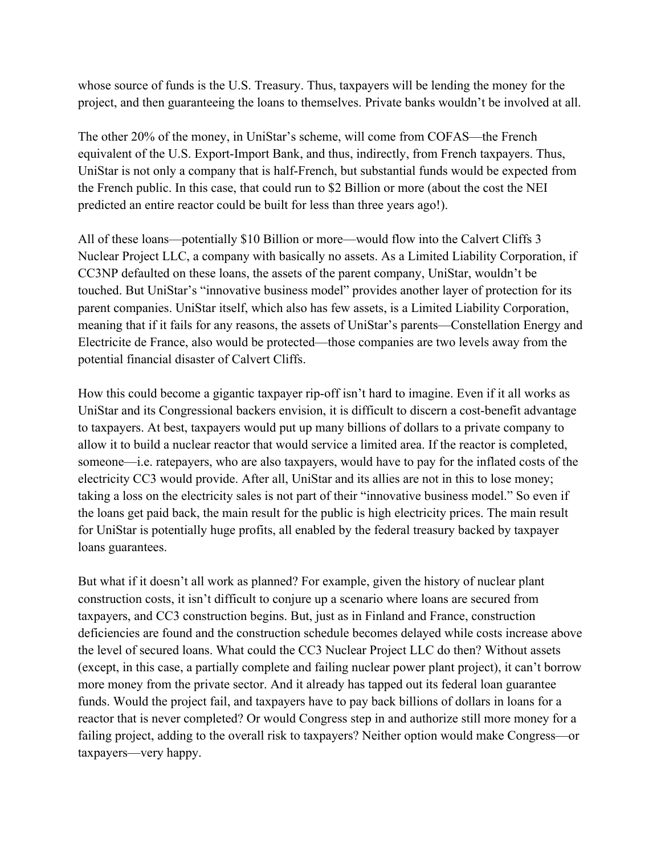whose source of funds is the U.S. Treasury. Thus, taxpayers will be lending the money for the project, and then guaranteeing the loans to themselves. Private banks wouldn't be involved at all.

The other 20% of the money, in UniStar's scheme, will come from COFAS—the French equivalent of the U.S. Export-Import Bank, and thus, indirectly, from French taxpayers. Thus, UniStar is not only a company that is half-French, but substantial funds would be expected from the French public. In this case, that could run to \$2 Billion or more (about the cost the NEI predicted an entire reactor could be built for less than three years ago!).

All of these loans—potentially \$10 Billion or more—would flow into the Calvert Cliffs 3 Nuclear Project LLC, a company with basically no assets. As a Limited Liability Corporation, if CC3NP defaulted on these loans, the assets of the parent company, UniStar, wouldn't be touched. But UniStar's "innovative business model" provides another layer of protection for its parent companies. UniStar itself, which also has few assets, is a Limited Liability Corporation, meaning that if it fails for any reasons, the assets of UniStar's parents—Constellation Energy and Electricite de France, also would be protected—those companies are two levels away from the potential financial disaster of Calvert Cliffs.

How this could become a gigantic taxpayer rip-off isn't hard to imagine. Even if it all works as UniStar and its Congressional backers envision, it is difficult to discern a cost-benefit advantage to taxpayers. At best, taxpayers would put up many billions of dollars to a private company to allow it to build a nuclear reactor that would service a limited area. If the reactor is completed, someone—i.e. ratepayers, who are also taxpayers, would have to pay for the inflated costs of the electricity CC3 would provide. After all, UniStar and its allies are not in this to lose money; taking a loss on the electricity sales is not part of their "innovative business model." So even if the loans get paid back, the main result for the public is high electricity prices. The main result for UniStar is potentially huge profits, all enabled by the federal treasury backed by taxpayer loans guarantees.

But what if it doesn't all work as planned? For example, given the history of nuclear plant construction costs, it isn't difficult to conjure up a scenario where loans are secured from taxpayers, and CC3 construction begins. But, just as in Finland and France, construction deficiencies are found and the construction schedule becomes delayed while costs increase above the level of secured loans. What could the CC3 Nuclear Project LLC do then? Without assets (except, in this case, a partially complete and failing nuclear power plant project), it can't borrow more money from the private sector. And it already has tapped out its federal loan guarantee funds. Would the project fail, and taxpayers have to pay back billions of dollars in loans for a reactor that is never completed? Or would Congress step in and authorize still more money for a failing project, adding to the overall risk to taxpayers? Neither option would make Congress—or taxpayers—very happy.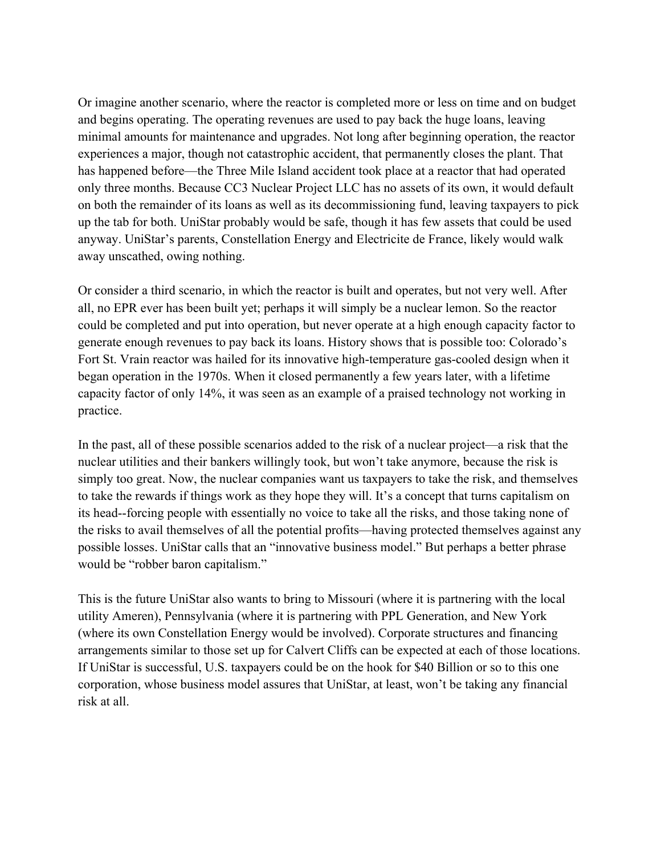Or imagine another scenario, where the reactor is completed more or less on time and on budget and begins operating. The operating revenues are used to pay back the huge loans, leaving minimal amounts for maintenance and upgrades. Not long after beginning operation, the reactor experiences a major, though not catastrophic accident, that permanently closes the plant. That has happened before—the Three Mile Island accident took place at a reactor that had operated only three months. Because CC3 Nuclear Project LLC has no assets of its own, it would default on both the remainder of its loans as well as its decommissioning fund, leaving taxpayers to pick up the tab for both. UniStar probably would be safe, though it has few assets that could be used anyway. UniStar's parents, Constellation Energy and Electricite de France, likely would walk away unscathed, owing nothing.

Or consider a third scenario, in which the reactor is built and operates, but not very well. After all, no EPR ever has been built yet; perhaps it will simply be a nuclear lemon. So the reactor could be completed and put into operation, but never operate at a high enough capacity factor to generate enough revenues to pay back its loans. History shows that is possible too: Colorado's Fort St. Vrain reactor was hailed for its innovative high-temperature gas-cooled design when it began operation in the 1970s. When it closed permanently a few years later, with a lifetime capacity factor of only 14%, it was seen as an example of a praised technology not working in practice.

In the past, all of these possible scenarios added to the risk of a nuclear project—a risk that the nuclear utilities and their bankers willingly took, but won't take anymore, because the risk is simply too great. Now, the nuclear companies want us taxpayers to take the risk, and themselves to take the rewards if things work as they hope they will. It's a concept that turns capitalism on its head--forcing people with essentially no voice to take all the risks, and those taking none of the risks to avail themselves of all the potential profits—having protected themselves against any possible losses. UniStar calls that an "innovative business model." But perhaps a better phrase would be "robber baron capitalism."

This is the future UniStar also wants to bring to Missouri (where it is partnering with the local utility Ameren), Pennsylvania (where it is partnering with PPL Generation, and New York (where its own Constellation Energy would be involved). Corporate structures and financing arrangements similar to those set up for Calvert Cliffs can be expected at each of those locations. If UniStar is successful, U.S. taxpayers could be on the hook for \$40 Billion or so to this one corporation, whose business model assures that UniStar, at least, won't be taking any financial risk at all.